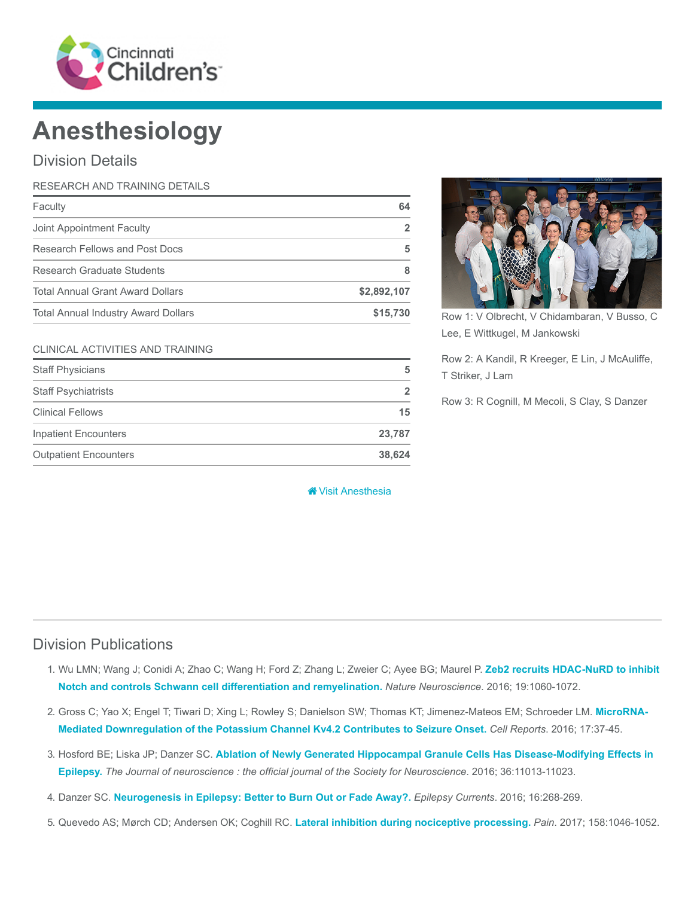

# Anesthesiology

## Division Details

| RESEARCH AND TRAINING DETAILS              |             |
|--------------------------------------------|-------------|
| Faculty                                    | 64          |
| Joint Appointment Faculty                  | 2           |
| Research Fellows and Post Docs             | 5           |
| Research Graduate Students                 | 8           |
| <b>Total Annual Grant Award Dollars</b>    | \$2,892,107 |
| <b>Total Annual Industry Award Dollars</b> | \$15,730    |

#### CLINICAL ACTIVITIES AND TRAINING

| <b>Staff Physicians</b>      | 5              |
|------------------------------|----------------|
| <b>Staff Psychiatrists</b>   | $\overline{2}$ |
| <b>Clinical Fellows</b>      | 15             |
| <b>Inpatient Encounters</b>  | 23,787         |
| <b>Outpatient Encounters</b> | 38.624         |

#### **\*** [Visit Anesthesia](https://www.cincinnatichildrens.org/research/divisions/a/anesthesia)



Row 1: V Olbrecht, V Chidambaran, V Busso, C Lee, E Wittkugel, M Jankowski

Row 2: A Kandil, R Kreeger, E Lin, J McAuliffe, T Striker, J Lam

Row 3: R Cognill, M Mecoli, S Clay, S Danzer

## Division Publications

- 1. [Wu LMN; Wang J; Conidi A; Zhao C; Wang H; Ford Z; Zhang L; Zweier C; Ayee BG; Maurel P.](https://www.ncbi.nlm.nih.gov/pubmed/27294509) Zeb2 recruits HDAC-NuRD to inhibit Notch and controls Schwann cell differentiation and remyelination. Nature Neuroscience. 2016; 19:1060-1072.
- 2. [Gross C; Yao X; Engel T; Tiwari D; Xing L; Rowley S; Danielson SW; Thomas KT; Jimenez-Mateos EM; Schroeder LM.](https://www.ncbi.nlm.nih.gov/pubmed/27681419) MicroRNA-Mediated Downregulation of the Potassium Channel Kv4.2 Contributes to Seizure Onset. Cell Reports. 2016; 17:37-45.
- 3. Hosford BE; Liska JP; Danzer SC. [Ablation of Newly Generated Hippocampal Granule Cells Has Disease-Modifying Effects in](https://www.ncbi.nlm.nih.gov/pubmed/27798182) Epilepsy. The Journal of neuroscience : the official journal of the Society for Neuroscience. 2016; 36:11013-11023.
- 4. Danzer SC. [Neurogenesis in Epilepsy: Better to Burn Out or Fade Away?.](https://www.ncbi.nlm.nih.gov/pubmed/27582672) Epilepsy Currents. 2016; 16:268-269.
- 5. Quevedo AS; Mørch CD; Andersen OK; Coghill RC. [Lateral inhibition during nociceptive processing.](https://www.ncbi.nlm.nih.gov/pubmed/28195854) Pain. 2017; 158:1046-1052.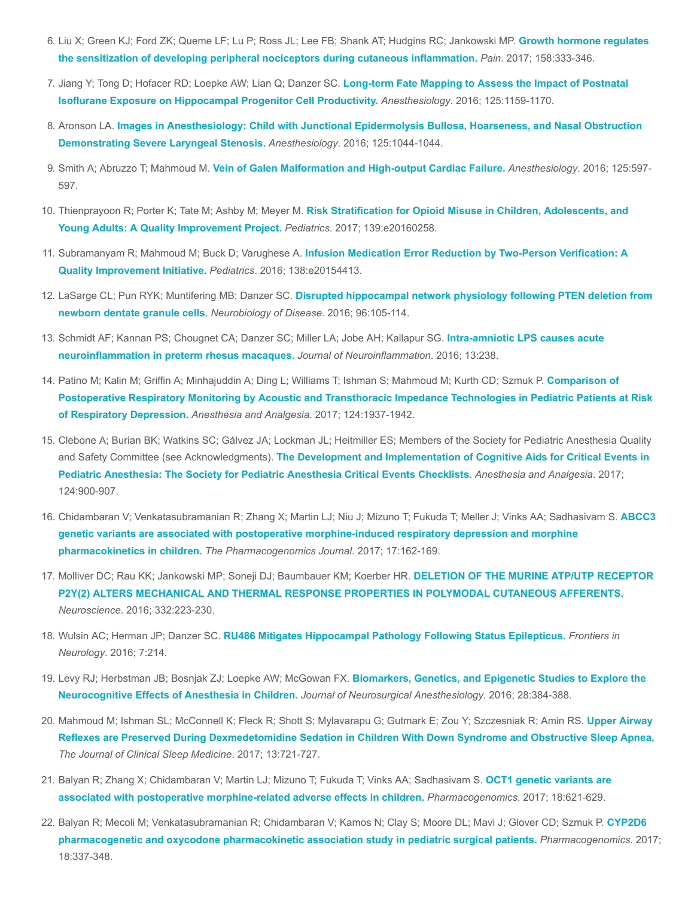- 6. [Liu X; Green KJ; Ford ZK; Queme LF; Lu P; Ross JL; Lee FB; Shank AT; Hudgins RC; Jankowski MP.](https://www.ncbi.nlm.nih.gov/pubmed/27898492) Growth hormone regulates the sensitization of developing peripheral nociceptors during cutaneous inflammation. Pain. 2017; 158:333-346.
- 7. [Jiang Y; Tong D; Hofacer RD; Loepke AW; Lian Q; Danzer SC.](https://www.ncbi.nlm.nih.gov/pubmed/27655218) Long-term Fate Mapping to Assess the Impact of Postnatal Isoflurane Exposure on Hippocampal Progenitor Cell Productivity. Anesthesiology. 2016; 125:1159-1170.
- 8. Aronson LA. [Images in Anesthesiology: Child with Junctional Epidermolysis Bullosa, Hoarseness, and Nasal Obstruction](https://www.ncbi.nlm.nih.gov/pubmed/27755034) Demonstrating Severe Laryngeal Stenosis. Anesthesiology. 2016; 125:1044-1044.
- 9. Smith A; Abruzzo T; Mahmoud M. [Vein of Galen Malformation and High-output Cardiac Failure.](https://www.ncbi.nlm.nih.gov/pubmed/26963817) Anesthesiology. 2016; 125:597-597.
- 10. Thienprayoon R; Porter K; Tate M; Ashby M; Meyer M. [Risk Stratification for Opioid Misuse in Children, Adolescents, and](https://www.ncbi.nlm.nih.gov/pubmed/27980029) Young Adults: A Quality Improvement Project. Pediatrics. 2017; 139:e20160258.
- 11. Subramanyam R; Mahmoud M; Buck D; Varughese A. [Infusion Medication Error Reduction by Two-Person Verification: A](https://www.ncbi.nlm.nih.gov/pubmed/27940663) Quality Improvement Initiative. Pediatrics. 2016; 138:e20154413.
- 12. LaSarge CL; Pun RYK; Muntifering MB; Danzer SC. [Disrupted hippocampal network physiology following PTEN deletion from](https://www.ncbi.nlm.nih.gov/pubmed/27597527) newborn dentate granule cells. Neurobiology of Disease. 2016; 96:105-114.
- 13. [Schmidt AF; Kannan PS; Chougnet CA; Danzer SC; Miller LA; Jobe AH; Kallapur SG.](https://www.ncbi.nlm.nih.gov/pubmed/27596440) Intra-amniotic LPS causes acute neuroinflammation in preterm rhesus macaques. Journal of Neuroinflammation. 2016; 13:238.
- 14. Patino M; Kalin M; Griffin A; Minhajuddin A; Ding L; Williams T; Ishman S; Mahmoud M; Kurth CD; Szmuk P. Comparison of [Postoperative Respiratory Monitoring by Acoustic and Transthoracic Impedance Technologies in Pediatric Patients at Risk](https://www.ncbi.nlm.nih.gov/pubmed/28448390) of Respiratory Depression. Anesthesia and Analgesia. 2017; 124:1937-1942.
- 15. Clebone A; Burian BK; Watkins SC; Gálvez JA; Lockman JL; Heitmiller ES; Members of the Society for Pediatric Anesthesia Quality and Safety Committee (see Acknowledgments). The Development and Implementation of Cognitive Aids for Critical Events in [Pediatric Anesthesia: The Society for Pediatric Anesthesia Critical Events Checklists.](https://www.ncbi.nlm.nih.gov/pubmed/28079584) Anesthesia and Analgesia. 2017; 124:900-907.
- 16. [Chidambaran V; Venkatasubramanian R; Zhang X; Martin LJ; Niu J; Mizuno T; Fukuda T; Meller J; Vinks AA; Sadhasivam S.](https://www.ncbi.nlm.nih.gov/pubmed/26810133) ABCC3 genetic variants are associated with postoperative morphine-induced respiratory depression and morphine pharmacokinetics in children. The Pharmacogenomics Journal. 2017; 17:162-169.
- 17. Molliver DC; Rau KK; Jankowski MP; Soneji DJ; Baumbauer KM; Koerber HR. DELETION OF THE MURINE ATP/UTP RECEPTOR [P2Y\(2\) ALTERS MECHANICAL AND THERMAL RESPONSE PROPERTIES IN POLYMODAL CUTANEOUS AFFERENTS.](https://www.ncbi.nlm.nih.gov/pubmed/27393251) Neuroscience. 2016; 332:223-230.
- 18. Wulsin AC; Herman JP; Danzer SC. [RU486 Mitigates Hippocampal Pathology Following Status Epilepticus.](https://www.ncbi.nlm.nih.gov/pubmed/27965624) Frontiers in Neurology. 2016; 7:214.
- 19. [Levy RJ; Herbstman JB; Bosnjak ZJ; Loepke AW; McGowan FX.](https://www.ncbi.nlm.nih.gov/pubmed/27564554) Biomarkers, Genetics, and Epigenetic Studies to Explore the Neurocognitive Effects of Anesthesia in Children. Journal of Neurosurgical Anesthesiology. 2016; 28:384-388.
- 20. [Mahmoud M; Ishman SL; McConnell K; Fleck R; Shott S; Mylavarapu G; Gutmark E; Zou Y; Szczesniak R; Amin RS.](https://www.ncbi.nlm.nih.gov/pubmed/28356179) Upper Airway Reflexes are Preserved During Dexmedetomidine Sedation in Children With Down Syndrome and Obstructive Sleep Apnea. The Journal of Clinical Sleep Medicine. 2017; 13:721-727.
- 21. [Balyan R; Zhang X; Chidambaran V; Martin LJ; Mizuno T; Fukuda T; Vinks AA; Sadhasivam S.](https://www.ncbi.nlm.nih.gov/pubmed/28470102) OCT1 genetic variants are associated with postoperative morphine-related adverse effects in children. Pharmacogenomics. 2017; 18:621-629.
- 22. [Balyan R; Mecoli M; Venkatasubramanian R; Chidambaran V; Kamos N; Clay S; Moore DL; Mavi J; Glover CD; Szmuk P.](https://www.ncbi.nlm.nih.gov/pubmed/28244808) CYP2D6 pharmacogenetic and oxycodone pharmacokinetic association study in pediatric surgical patients. Pharmacogenomics. 2017; 18:337-348.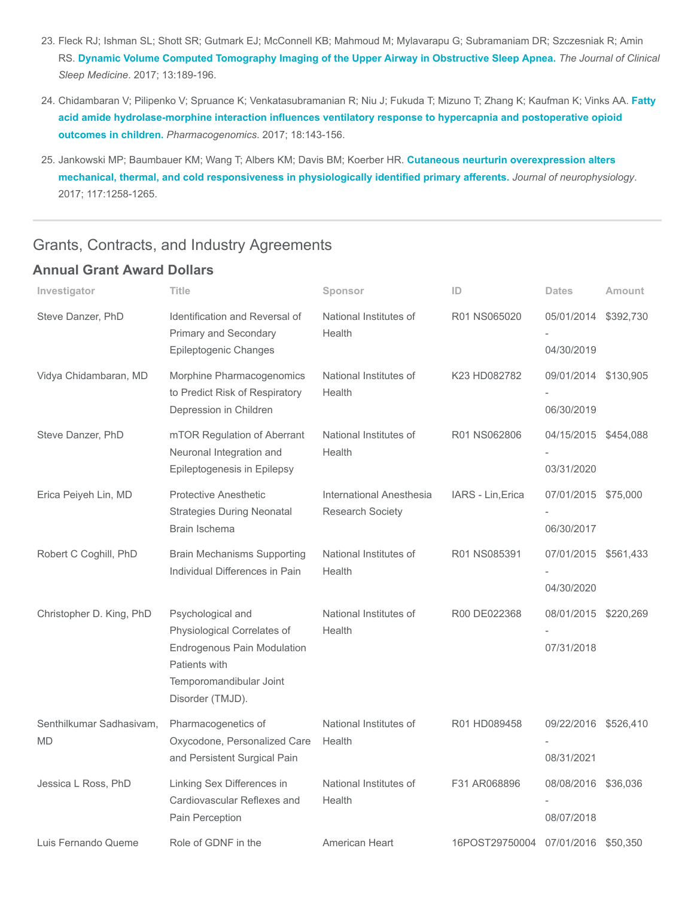- 23. Fleck RJ; Ishman SL; Shott SR; Gutmark EJ; McConnell KB; Mahmoud M; Mylavarapu G; Subramaniam DR; Szczesniak R; Amin RS. [Dynamic Volume Computed Tomography Imaging of the Upper Airway in Obstructive Sleep Apnea.](https://www.ncbi.nlm.nih.gov/pubmed/27784422) The Journal of Clinical Sleep Medicine. 2017; 13:189-196.
- 24. [Chidambaran V; Pilipenko V; Spruance K; Venkatasubramanian R; Niu J; Fukuda T; Mizuno T; Zhang K; Kaufman K; Vinks AA.](https://www.ncbi.nlm.nih.gov/pubmed/27977335) Fatty acid amide hydrolase-morphine interaction influences ventilatory response to hypercapnia and postoperative opioid outcomes in children. Pharmacogenomics. 2017; 18:143-156.
- 25. Jankowski MP; Baumbauer KM; Wang T; Albers KM; Davis BM; Koerber HR. Cutaneous neurturin overexpression alters [mechanical, thermal, and cold responsiveness in physiologically identified primary afferents.](https://www.ncbi.nlm.nih.gov/pubmed/28031403) Journal of neurophysiology. 2017; 117:1258-1265.

## Grants, Contracts, and Industry Agreements

### Annual Grant Award Dollars

| Investigator                   | <b>Title</b>                                                                                                                                           | Sponsor                                             | ID                | <b>Dates</b>                       | <b>Amount</b> |
|--------------------------------|--------------------------------------------------------------------------------------------------------------------------------------------------------|-----------------------------------------------------|-------------------|------------------------------------|---------------|
| Steve Danzer, PhD              | Identification and Reversal of<br>Primary and Secondary<br>Epileptogenic Changes                                                                       | National Institutes of<br>Health                    | R01 NS065020      | 05/01/2014<br>04/30/2019           | \$392,730     |
| Vidya Chidambaran, MD          | Morphine Pharmacogenomics<br>to Predict Risk of Respiratory<br>Depression in Children                                                                  | National Institutes of<br>Health                    | K23 HD082782      | 09/01/2014<br>06/30/2019           | \$130,905     |
| Steve Danzer, PhD              | mTOR Regulation of Aberrant<br>Neuronal Integration and<br>Epileptogenesis in Epilepsy                                                                 | National Institutes of<br>Health                    | R01 NS062806      | 04/15/2015 \$454,088<br>03/31/2020 |               |
| Erica Peiyeh Lin, MD           | <b>Protective Anesthetic</b><br><b>Strategies During Neonatal</b><br>Brain Ischema                                                                     | International Anesthesia<br><b>Research Society</b> | IARS - Lin, Erica | 07/01/2015 \$75,000<br>06/30/2017  |               |
| Robert C Coghill, PhD          | <b>Brain Mechanisms Supporting</b><br>Individual Differences in Pain                                                                                   | National Institutes of<br>Health                    | R01 NS085391      | 07/01/2015 \$561,433<br>04/30/2020 |               |
| Christopher D. King, PhD       | Psychological and<br>Physiological Correlates of<br><b>Endrogenous Pain Modulation</b><br>Patients with<br>Temporomandibular Joint<br>Disorder (TMJD). | National Institutes of<br>Health                    | R00 DE022368      | 08/01/2015 \$220,269<br>07/31/2018 |               |
| Senthilkumar Sadhasivam,<br>MD | Pharmacogenetics of<br>Oxycodone, Personalized Care<br>and Persistent Surgical Pain                                                                    | National Institutes of<br>Health                    | R01 HD089458      | 09/22/2016 \$526,410<br>08/31/2021 |               |
| Jessica L Ross, PhD            | Linking Sex Differences in<br>Cardiovascular Reflexes and<br>Pain Perception                                                                           | National Institutes of<br>Health                    | F31 AR068896      | 08/08/2016 \$36,036<br>08/07/2018  |               |
| Luis Fernando Queme            | Role of GDNF in the                                                                                                                                    | American Heart                                      | 16POST29750004    | 07/01/2016 \$50,350                |               |